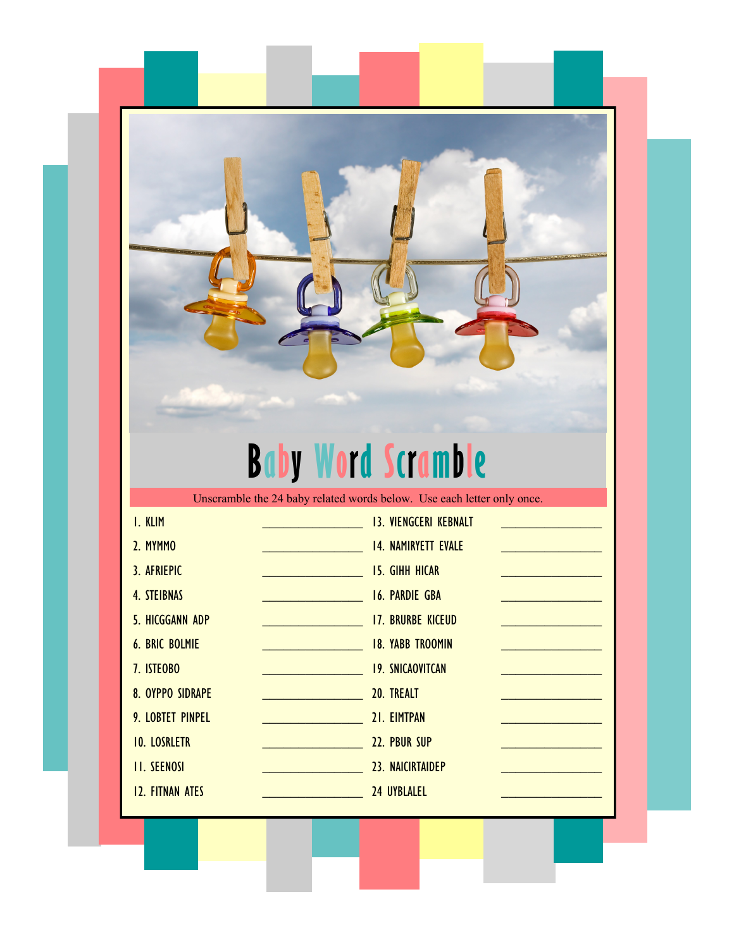## **Baby Word Scramble**

Unscramble the 24 baby related words below. Use each letter only once.

| I. KLIM                 |                                  | <b>13. VIENGCERI KEBNALT</b> |  |
|-------------------------|----------------------------------|------------------------------|--|
| 2. MYMMO                |                                  | <b>14. NAMIRYETT EVALE</b>   |  |
| 3. AFRIEPIC             | <u> 1999 - Johann Barnett, f</u> | <b>15. GIHH HICAR</b>        |  |
| <b>4. STEIBNAS</b>      |                                  | <b>16. PARDIE GBA</b>        |  |
| <b>5. HICGGANN ADP</b>  |                                  | <b>17. BRURBE KICEUD</b>     |  |
| <b>6. BRIC BOLMIE</b>   |                                  | <b>18. YABB TROOMIN</b>      |  |
| 7. ISTEOBO              |                                  | <b>19. SNICAOVITCAN</b>      |  |
| <b>8. OYPPO SIDRAPE</b> |                                  | 20. TREALT                   |  |
| 9. LOBTET PINPEL        |                                  | 21. EIMTPAN                  |  |
| <b>10. LOSRLETR</b>     |                                  | 22. PBUR SUP                 |  |
| <b>II. SEENOSI</b>      |                                  | 23. NAICIRTAIDEP             |  |
| <b>12. FITNAN ATES</b>  |                                  | <b>24 UYBLALEL</b>           |  |
|                         |                                  |                              |  |